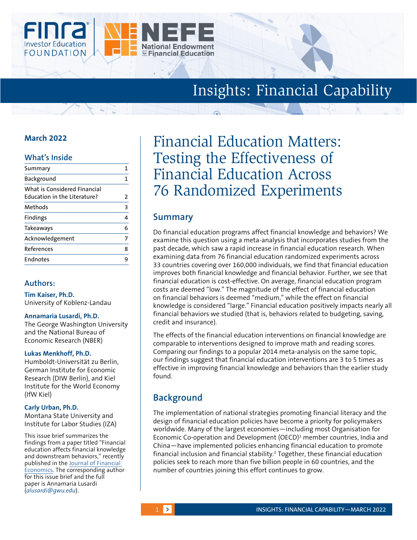

# Insights: Financial Capability

## **March 2022**

### **What's Inside**

| Summary                                                             |   |
|---------------------------------------------------------------------|---|
| Background                                                          |   |
| What is Considered Financial<br><b>Education in the Literature?</b> | 2 |
| Methods                                                             | 3 |
| <b>Findings</b>                                                     | 4 |
| Takeaways                                                           | 6 |
| Acknowledgement                                                     | 7 |
| References                                                          | 8 |
| Endnotes                                                            |   |
|                                                                     |   |

### **Authors:**

**Tim Kaiser, Ph.D.**  University of Koblenz-Landau

#### **Annamaria Lusardi, Ph.D.**

The George Washington University and the National Bureau of Economic Research (NBER)

#### **Lukas Menkhoff, Ph.D.**

Humboldt-Universität zu Berlin, German Institute for Economic Research (DIW Berlin), and Kiel Institute for the World Economy (IfW Kiel)

#### **Carly Urban, Ph.D.**

Montana State University and Institute for Labor Studies (IZA)

This issue brief summarizes the findings from a paper titled "Financial education affects financial knowledge and downstream behaviors," recently published in the [Journal of Financial](https://doi.org/10.1016/j.jfineco.2021.09.022 )  [Economics.](https://doi.org/10.1016/j.jfineco.2021.09.022 ) The corresponding author for this issue brief and the full paper is Annamaria Lusardi (*alusardi@gwu.edu*).

# Financial Education Matters: Testing the Effectiveness of Financial Education Across 76 Randomized Experiments

# **Summary**

Do financial education programs affect financial knowledge and behaviors? We examine this question using a meta-analysis that incorporates studies from the past decade, which saw a rapid increase in financial education research. When examining data from 76 financial education randomized experiments across 33 countries covering over 160,000 individuals, we find that financial education improves both financial knowledge and financial behavior. Further, we see that financial education is cost-effective. On average, financial education program costs are deemed "low." The magnitude of the effect of financial education on financial behaviors is deemed "medium," while the effect on financial knowledge is considered "large." Financial education positively impacts nearly all financial behaviors we studied (that is, behaviors related to budgeting, saving, credit and insurance).

The effects of the financial education interventions on financial knowledge are comparable to interventions designed to improve math and reading scores. Comparing our findings to a popular 2014 meta-analysis on the same topic, our findings suggest that financial education interventions are 3 to 5 times as effective in improving financial knowledge and behaviors than the earlier study found.

# **Background**

The implementation of national strategies promoting financial literacy and the design of financial education policies have become a priority for policymakers worldwide. Many of the largest economies—including most Organisation for Economic Co-operation and Development (OECD) $1$  member countries, India and China—have implemented policies enhancing financial education to promote financial inclusion and financial stability.2 Together, these financial education policies seek to reach more than five billion people in 60 countries, and the number of countries joining this effort continues to grow.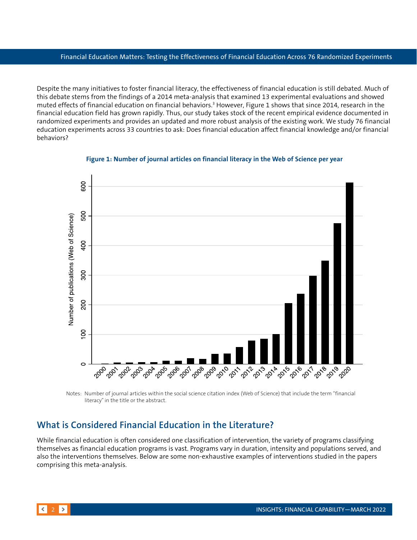<span id="page-1-0"></span>Despite the many initiatives to foster financial literacy, the effectiveness of financial education is still debated. Much of this debate stems from the findings of a 2014 meta-analysis that examined 13 experimental evaluations and showed muted effects of financial education on financial behaviors.<sup>3</sup> However, Figure 1 shows that since 2014, research in the financial education field has grown rapidly. Thus, our study takes stock of the recent empirical evidence documented in randomized experiments and provides an updated and more robust analysis of the existing work. We study 76 financial education experiments across 33 countries to ask: Does financial education affect financial knowledge and/or financial behaviors?



**Figure 1: Number of journal articles on financial literacy in the Web of Science per year** 

Notes: Number of journal articles within the social science citation index (Web of Science) that include the term "financial literacy"in the title or the abstract.

## **What is Considered Financial Education in the Literature?**

While financial education is often considered one classification of intervention, the variety of programs classifying themselves as financial education programs is vast. Programs vary in duration, intensity and populations served, and also the interventions themselves. Below are some non-exhaustive examples of interventions studied in the papers comprising this meta-analysis.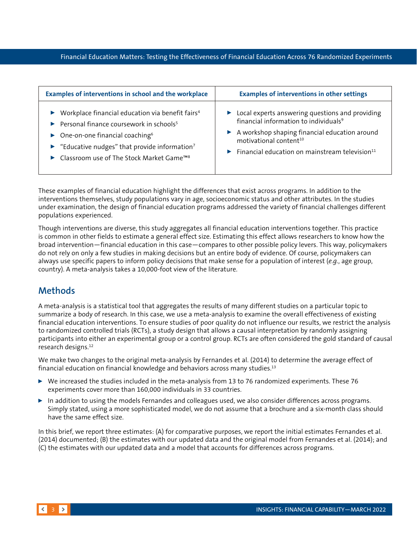<span id="page-2-0"></span>

| Examples of interventions in school and the workplace                              | <b>Examples of interventions in other settings</b>                               |
|------------------------------------------------------------------------------------|----------------------------------------------------------------------------------|
| $\blacktriangleright$ Workplace financial education via benefit fairs <sup>4</sup> | $\blacktriangleright$ Local experts answering questions and providing            |
| Personal finance coursework in schools <sup>5</sup>                                | financial information to individuals <sup>9</sup>                                |
| $\triangleright$ One-on-one financial coaching <sup>6</sup>                        | $\blacktriangleright$ A workshop shaping financial education around              |
| Educative nudges" that provide information <sup>7</sup>                            | motivational content <sup>10</sup>                                               |
| ► Classroom use of The Stock Market Game <sup>TM8</sup>                            | $\blacktriangleright$ Financial education on mainstream television <sup>11</sup> |

These examples of financial education highlight the differences that exist across programs. In addition to the interventions themselves, study populations vary in age, socioeconomic status and other attributes. In the studies under examination, the design of financial education programs addressed the variety of financial challenges different populations experienced.

Though interventions are diverse, this study aggregates all financial education interventions together. This practice is common in other fields to estimate a general effect size. Estimating this effect allows researchers to know how the broad intervention—financial education in this case—compares to other possible policy levers. This way, policymakers do not rely on only a few studies in making decisions but an entire body of evidence. Of course, policymakers can always use specific papers to inform policy decisions that make sense for a population of interest (*e.g.*, age group, country). A meta-analysis takes a 10,000-foot view of the literature.

# **Methods**

A meta-analysis is a statistical tool that aggregates the results of many different studies on a particular topic to summarize a body of research. In this case, we use a meta-analysis to examine the overall effectiveness of existing financial education interventions. To ensure studies of poor quality do not influence our results, we restrict the analysis to randomized controlled trials (RCTs), a study design that allows a causal interpretation by randomly assigning participants into either an experimental group or a control group. RCTs are often considered the gold standard of causal research designs.12

We make two changes to the original meta-analysis by Fernandes et al. (2014) to determine the average effect of financial education on financial knowledge and behaviors across many studies.13

- $\triangleright$  We increased the studies included in the meta-analysis from 13 to 76 randomized experiments. These 76 experiments cover more than 160,000 individuals in 33 countries.
- $\blacktriangleright$  In addition to using the models Fernandes and colleagues used, we also consider differences across programs. Simply stated, using a more sophisticated model, we do not assume that a brochure and a six-month class should have the same effect size.

In this brief, we report three estimates: (A) for comparative purposes, we report the initial estimates Fernandes et al. (2014) documented; (B) the estimates with our updated data and the original model from Fernandes et al. (2014); and (C) the estimates with our updated data and a model that accounts for differences across programs.

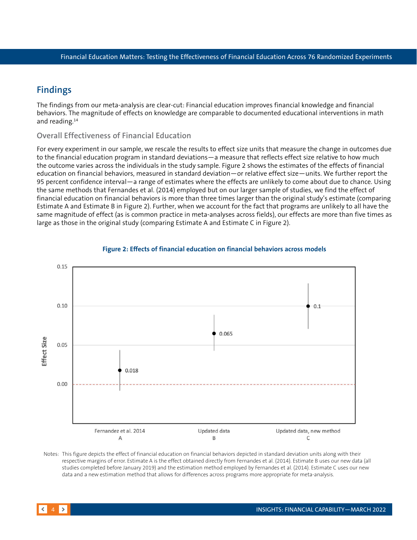# <span id="page-3-0"></span>**Findings**

The findings from our meta-analysis are clear-cut: Financial education improves financial knowledge and financial behaviors. The magnitude of effects on knowledge are comparable to documented educational interventions in math and reading.14

### **Overall Effectiveness of Financial Education**

For every experiment in our sample, we rescale the results to effect size units that measure the change in outcomes due to the financial education program in standard deviations—a measure that reflects effect size relative to how much the outcome varies across the individuals in the study sample. Figure 2 shows the estimates of the effects of financial education on financial behaviors, measured in standard deviation—or relative effect size—units. We further report the 95 percent confidence interval—a range of estimates where the effects are unlikely to come about due to chance. Using the same methods that Fernandes et al. (2014) employed but on our larger sample of studies, we find the effect of financial education on financial behaviors is more than three times larger than the original study's estimate (comparing Estimate A and Estimate B in Figure 2). Further, when we account for the fact that programs are unlikely to all have the same magnitude of effect (as is common practice in meta-analyses across fields), our effects are more than five times as large as those in the original study (comparing Estimate A and Estimate C in Figure 2).



#### **Figure 2: Effects of financial education on financial behaviors across models**

Notes: This figure depicts the effect of financial education on financial behaviors depicted in standard deviation units along with their respective margins of error. Estimate A is the effect obtained directly from Fernandes et al. (2014). Estimate B uses our new data (all studies completed before January 2019) and the estimation method employed by Fernandes et al. (2014). Estimate C uses our new data and a new estimation method that allows for differences across programs more appropriate for meta-analysis.

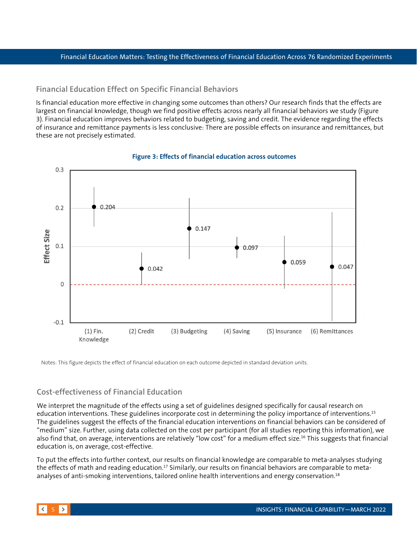#### **Financial Education Effect on Specific Financial Behaviors**

Is financial education more effective in changing some outcomes than others? Our research finds that the effects are largest on financial knowledge, though we find positive effects across nearly all financial behaviors we study (Figure 3). Financial education improves behaviors related to budgeting, saving and credit. The evidence regarding the effects of insurance and remittance payments is less conclusive: There are possible effects on insurance and remittances, but these are not precisely estimated.



#### **Figure 3: Effects of financial education across outcomes**

Notes: This figure depicts the effect of financial education on each outcome depicted in standard deviation units.

### **Cost-effectiveness of Financial Education**

We interpret the magnitude of the effects using a set of guidelines designed specifically for causal research on education interventions. These guidelines incorporate cost in determining the policy importance of interventions.15 The guidelines suggest the effects of the financial education interventions on financial behaviors can be considered of "medium" size. Further, using data collected on the cost per participant (for all studies reporting this information), we also find that, on average, interventions are relatively "low cost" for a medium effect size.<sup>16</sup> This suggests that financial education is, on average, cost-effective.

To put the effects into further context, our results on financial knowledge are comparable to meta-analyses studying the effects of math and reading education.<sup>17</sup> Similarly, our results on financial behaviors are comparable to metaanalyses of anti-smoking interventions, tailored online health interventions and energy conservation.<sup>18</sup>

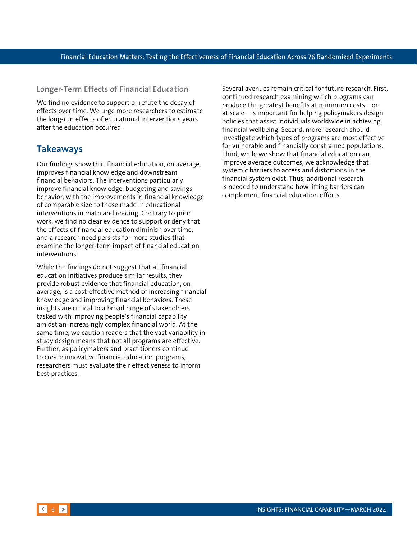#### <span id="page-5-0"></span>**Longer-Term Effects of Financial Education**

We find no evidence to support or refute the decay of effects over time. We urge more researchers to estimate the long-run effects of educational interventions years after the education occurred.

### **Takeaways**

Our findings show that financial education, on average, improves financial knowledge and downstream financial behaviors. The interventions particularly improve financial knowledge, budgeting and savings behavior, with the improvements in financial knowledge of comparable size to those made in educational interventions in math and reading. Contrary to prior work, we find no clear evidence to support or deny that the effects of financial education diminish over time, and a research need persists for more studies that examine the longer-term impact of financial education interventions.

While the findings do not suggest that all financial education initiatives produce similar results, they provide robust evidence that financial education, on average, is a cost-effective method of increasing financial knowledge and improving financial behaviors. These insights are critical to a broad range of stakeholders tasked with improving people's financial capability amidst an increasingly complex financial world. At the same time, we caution readers that the vast variability in study design means that not all programs are effective. Further, as policymakers and practitioners continue to create innovative financial education programs, researchers must evaluate their effectiveness to inform best practices.

Several avenues remain critical for future research. First, continued research examining which programs can produce the greatest benefits at minimum costs—or at scale—is important for helping policymakers design policies that assist individuals worldwide in achieving financial wellbeing. Second, more research should investigate which types of programs are most effective for vulnerable and financially constrained populations. Third, while we show that financial education can improve average outcomes, we acknowledge that systemic barriers to access and distortions in the financial system exist. Thus, additional research is needed to understand how lifting barriers can complement financial education efforts.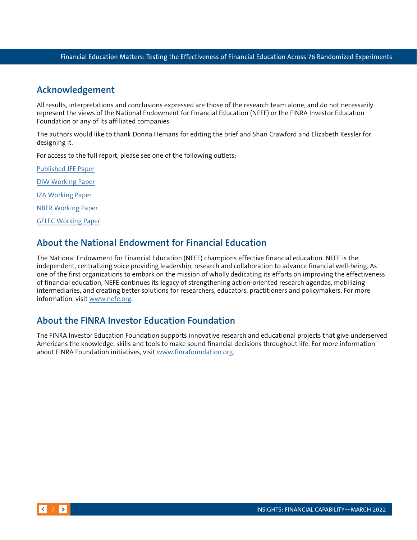### <span id="page-6-0"></span>**Acknowledgement**

All results, interpretations and conclusions expressed are those of the research team alone, and do not necessarily represent the views of the National Endowment for Financial Education (NEFE) or the FINRA Investor Education Foundation or any of its affiliated companies.

The authors would like to thank Donna Hemans for editing the brief and Shari Crawford and Elizabeth Kessler for designing it.

For access to the full report, please see one of the following outlets:

[Published JFE Paper](https://www.sciencedirect.com/science/article/pii/S0304405X21004281) [DIW Working Paper](https://www.diw.de/de/diw_01.c.785790.de/publikationen/diskussionspapiere/2020_1864/financial_education_affects_financial_knowledge_and_downstream_behaviors.html) [IZA Working Paper](https://www.iza.org/publications/dp/13178/financial-education-affects-financial-knowledge-and-downstream-behaviors) [NBER Working Paper](https://www.nber.org/papers/w27057) [GFLEC Working Paper](https://gflec.org/research-tag/financial-education-affects-financial-knowledge-and-downstream-behaviors/)

### **About the National Endowment for Financial Education**

The National Endowment for Financial Education (NEFE) champions effective financial education. NEFE is the independent, centralizing voice providing leadership, research and collaboration to advance financial well-being. As one of the first organizations to embark on the mission of wholly dedicating its efforts on improving the effectiveness of financial education, NEFE continues its legacy of strengthening action-oriented research agendas, mobilizing intermediaries, and creating better solutions for researchers, educators, practitioners and policymakers. For more information, visit [www.nefe.org.](http://www.nefe.org)

## **About the FINRA Investor Education Foundation**

The FINRA Investor Education Foundation supports innovative research and educational projects that give underserved Americans the knowledge, skills and tools to make sound financial decisions throughout life. For more information about FINRA Foundation initiatives, visit [www.finrafoundation.org](file:///C:\Users\K20537\AppData\Local\Microsoft\Windows\INetCache\Content.Outlook\QUNL22I2\www.finrafoundation.org).

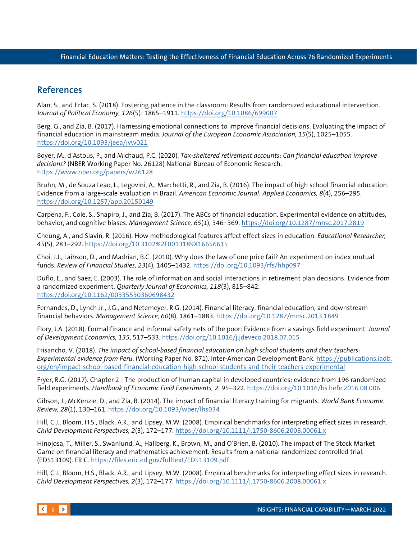# <span id="page-7-0"></span>**References**

Alan, S., and Ertac, S. (2018). Fostering patience in the classroom: Results from randomized educational intervention. *Journal of Political Economy, 126*(5): 1865–1911. <https://doi.org/10.1086/699007>

Berg, G., and Zia, B. (2017). Harnessing emotional connections to improve financial decisions. Evaluating the impact of financial education in mainstream media. *Journal of the European Economic Association, 15*(5), 1025–1055. <https://doi.org/10.1093/jeea/jvw021>

Boyer, M., d'Astous, P., and Michaud, P.C. (2020). *Tax-sheltered retirement accounts: Can financial education improve decisions?* (NBER Working Paper No. 26128) National Bureau of Economic Research. <https://www.nber.org/papers/w26128>

Bruhn, M., de Souza Leao, L., Legovini, A., Marchetti, R., and Zia, B. (2016). The impact of high school financial education: Evidence from a large-scale evaluation in Brazil. *American Economic Journal: Applied Economics, 8*(4), 256–295. <https://doi.org/10.1257/app.20150149>

Carpena, F., Cole, S., Shapiro, J., and Zia, B. (2017). The ABCs of financial education. Experimental evidence on attitudes, behavior, and cognitive biases. *Management Science, 65*(1), 346–369. <https://doi.org/10.1287/mnsc.2017.2819>

Cheung, A., and Slavin, R. (2016). How methodological features affect effect sizes in education. *Educational Researcher, 45*(5), 283–292. <https://doi.org/10.3102%2F0013189X16656615>

Choi, J.J., Laibson, D., and Madrian, B.C. (2010). Why does the law of one price fail? An experiment on index mutual funds. *Review of Financial Studies, 23*(4), 1405–1432. <https://doi.org/10.1093/rfs/hhp097>

Duflo, E., and Saez, E. (2003). The role of information and social interactions in retirement plan decisions: Evidence from a randomized experiment. *Quarterly Journal of Economics, 118*(3), 815–842. <https://doi.org/10.1162/00335530360698432>

Fernandes, D., Lynch Jr., J.G., and Netemeyer, R.G. (2014). Financial literacy, financial education, and downstream financial behaviors. *Management Science, 60*(8), 1861–1883. <https://doi.org/10.1287/mnsc.2013.1849>

Flory, J.A. (2018). Formal finance and informal safety nets of the poor: Evidence from a savings field experiment. *Journal of Development Economics, 135*, 517–533. <https://doi.org/10.1016/j.jdeveco.2018.07.015>

Frisancho, V. (2018). *The impact of school-based financial education on high school students and their teachers: Experimental evidence from Peru*. (Working Paper No. 871). Inter-American Development Bank. [https://publications.iadb.](https://publications.iadb.org/en/impact-school-based-financial-education-high-school-students-and-their-teachers-experimental) [org/en/impact-school-based-financial-education-high-school-students-and-their-teachers-experimental](https://publications.iadb.org/en/impact-school-based-financial-education-high-school-students-and-their-teachers-experimental)

Fryer, R.G. (2017). Chapter 2 - The production of human capital in developed countries: evidence from 196 randomized field experiments. *Handbook of Economic Field Experiments, 2*, 95–322. <https://doi.org/10.1016/bs.hefe.2016.08.006>

Gibson, J., McKenzie, D., and Zia, B. (2014). The impact of financial literacy training for migrants. *World Bank Economic Review, 28*(1), 130–161. <https://doi.org/10.1093/wber/lhs034>

Hill, C.J., Bloom, H.S., Black, A.R., and Lipsey, M.W. (2008). Empirical benchmarks for interpreting effect sizes in research. *Child Development Perspectives, 2*(3), 172–177. <https://doi.org/10.1111/j.1750-8606.2008.00061.x>

Hinojosa, T., Miller, S., Swanlund, A., Hallberg, K., Brown, M., and O'Brien, B. (2010). The impact of The Stock Market Game on financial literacy and mathematics achievement. Results from a national randomized controlled trial. (ED513109). ERIC. <https://files.eric.ed.gov/fulltext/ED513109.pdf>

Hill, C.J., Bloom, H.S., Black, A.R., and Lipsey, M.W. (2008). Empirical benchmarks for interpreting effect sizes in research. *Child Development Perspectives, 2*(3), 172–177. <https://doi.org/10.1111/j.1750-8606.2008.00061.x>